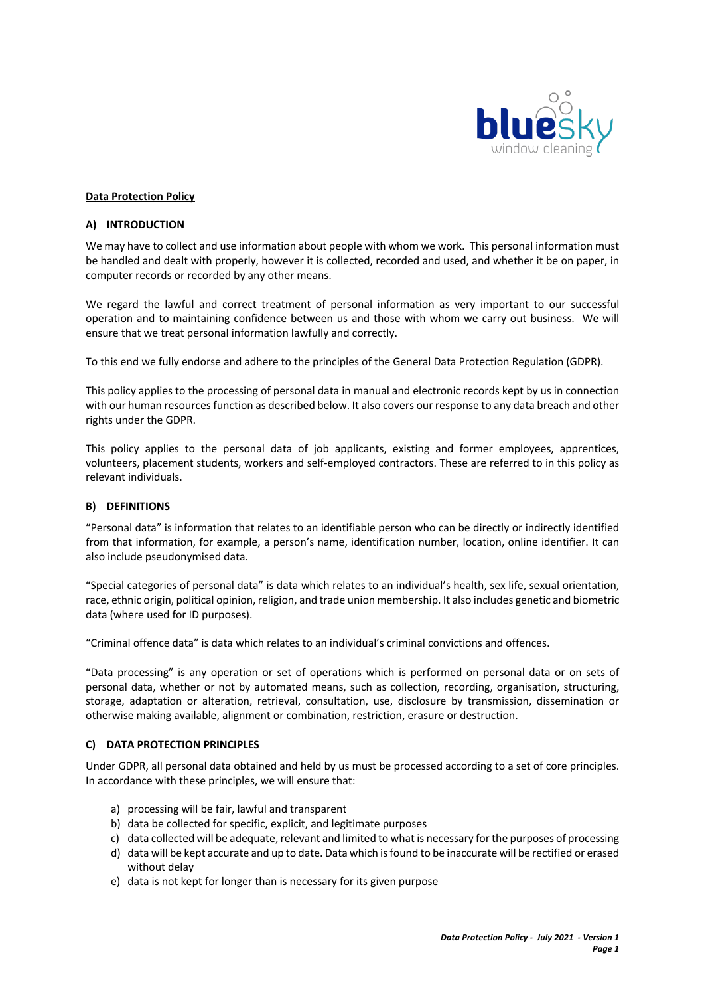

#### **Data Protection Policy**

#### **A) INTRODUCTION**

We may have to collect and use information about people with whom we work. This personal information must be handled and dealt with properly, however it is collected, recorded and used, and whether it be on paper, in computer records or recorded by any other means.

We regard the lawful and correct treatment of personal information as very important to our successful operation and to maintaining confidence between us and those with whom we carry out business. We will ensure that we treat personal information lawfully and correctly.

To this end we fully endorse and adhere to the principles of the General Data Protection Regulation (GDPR).

This policy applies to the processing of personal data in manual and electronic records kept by us in connection with our human resources function as described below. It also covers our response to any data breach and other rights under the GDPR.

This policy applies to the personal data of job applicants, existing and former employees, apprentices, volunteers, placement students, workers and self-employed contractors. These are referred to in this policy as relevant individuals.

#### **B) DEFINITIONS**

"Personal data" is information that relates to an identifiable person who can be directly or indirectly identified from that information, for example, a person's name, identification number, location, online identifier. It can also include pseudonymised data.

"Special categories of personal data" is data which relates to an individual's health, sex life, sexual orientation, race, ethnic origin, political opinion, religion, and trade union membership. It also includes genetic and biometric data (where used for ID purposes).

"Criminal offence data" is data which relates to an individual's criminal convictions and offences.

"Data processing" is any operation or set of operations which is performed on personal data or on sets of personal data, whether or not by automated means, such as collection, recording, organisation, structuring, storage, adaptation or alteration, retrieval, consultation, use, disclosure by transmission, dissemination or otherwise making available, alignment or combination, restriction, erasure or destruction.

#### **C) DATA PROTECTION PRINCIPLES**

Under GDPR, all personal data obtained and held by us must be processed according to a set of core principles. In accordance with these principles, we will ensure that:

- a) processing will be fair, lawful and transparent
- b) data be collected for specific, explicit, and legitimate purposes
- c) data collected will be adequate, relevant and limited to what is necessary for the purposes of processing
- d) data will be kept accurate and up to date. Data which is found to be inaccurate will be rectified or erased without delay
- e) data is not kept for longer than is necessary for its given purpose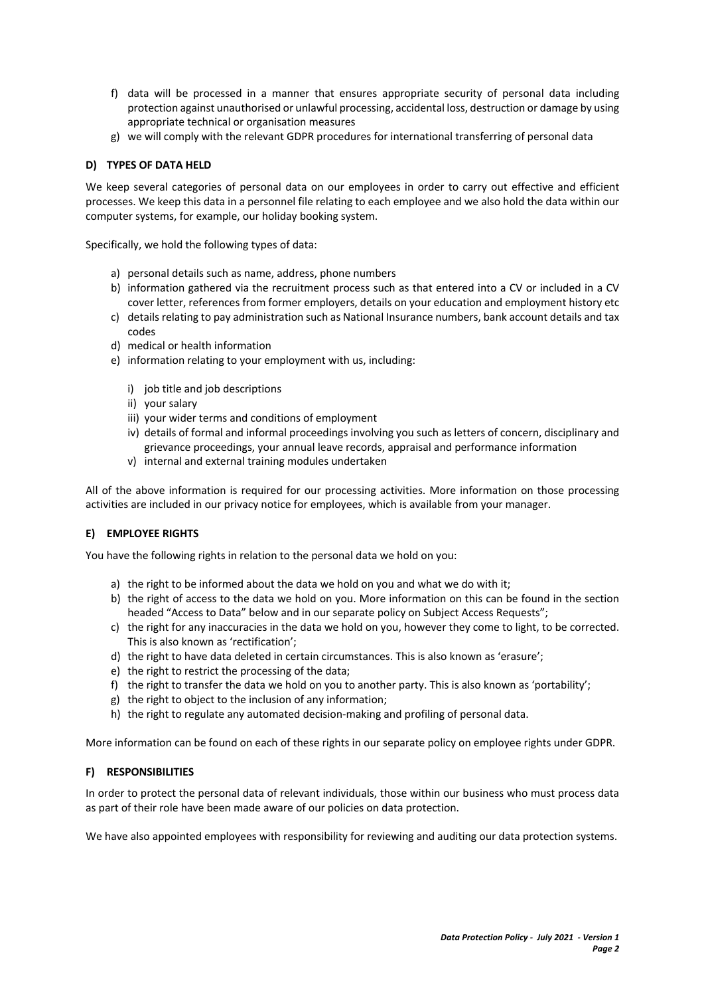- f) data will be processed in a manner that ensures appropriate security of personal data including protection against unauthorised or unlawful processing, accidental loss, destruction or damage by using appropriate technical or organisation measures
- g) we will comply with the relevant GDPR procedures for international transferring of personal data

# **D) TYPES OF DATA HELD**

We keep several categories of personal data on our employees in order to carry out effective and efficient processes. We keep this data in a personnel file relating to each employee and we also hold the data within our computer systems, for example, our holiday booking system.

Specifically, we hold the following types of data:

- a) personal details such as name, address, phone numbers
- b) information gathered via the recruitment process such as that entered into a CV or included in a CV cover letter, references from former employers, details on your education and employment history etc
- c) details relating to pay administration such as National Insurance numbers, bank account details and tax codes
- d) medical or health information
- e) information relating to your employment with us, including:
	- i) job title and job descriptions
	- ii) your salary
	- iii) your wider terms and conditions of employment
	- iv) details of formal and informal proceedings involving you such as letters of concern, disciplinary and grievance proceedings, your annual leave records, appraisal and performance information
	- v) internal and external training modules undertaken

All of the above information is required for our processing activities. More information on those processing activities are included in our privacy notice for employees, which is available from your manager.

# **E) EMPLOYEE RIGHTS**

You have the following rights in relation to the personal data we hold on you:

- a) the right to be informed about the data we hold on you and what we do with it;
- b) the right of access to the data we hold on you. More information on this can be found in the section headed "Access to Data" below and in our separate policy on Subject Access Requests";
- c) the right for any inaccuracies in the data we hold on you, however they come to light, to be corrected. This is also known as 'rectification';
- d) the right to have data deleted in certain circumstances. This is also known as 'erasure';
- e) the right to restrict the processing of the data;
- f) the right to transfer the data we hold on you to another party. This is also known as 'portability';
- g) the right to object to the inclusion of any information;
- h) the right to regulate any automated decision-making and profiling of personal data.

More information can be found on each of these rights in our separate policy on employee rights under GDPR.

# **F) RESPONSIBILITIES**

In order to protect the personal data of relevant individuals, those within our business who must process data as part of their role have been made aware of our policies on data protection.

We have also appointed employees with responsibility for reviewing and auditing our data protection systems.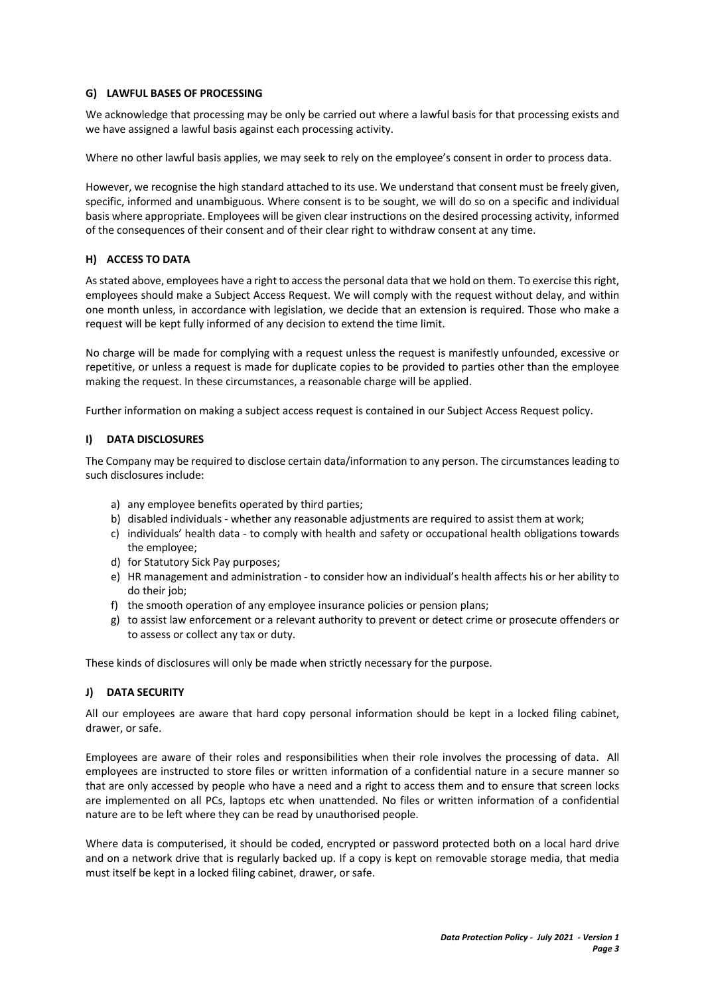### **G) LAWFUL BASES OF PROCESSING**

We acknowledge that processing may be only be carried out where a lawful basis for that processing exists and we have assigned a lawful basis against each processing activity.

Where no other lawful basis applies, we may seek to rely on the employee's consent in order to process data.

However, we recognise the high standard attached to its use. We understand that consent must be freely given, specific, informed and unambiguous. Where consent is to be sought, we will do so on a specific and individual basis where appropriate. Employees will be given clear instructions on the desired processing activity, informed of the consequences of their consent and of their clear right to withdraw consent at any time.

### **H) ACCESS TO DATA**

As stated above, employees have a right to access the personal data that we hold on them. To exercise this right, employees should make a Subject Access Request. We will comply with the request without delay, and within one month unless, in accordance with legislation, we decide that an extension is required. Those who make a request will be kept fully informed of any decision to extend the time limit.

No charge will be made for complying with a request unless the request is manifestly unfounded, excessive or repetitive, or unless a request is made for duplicate copies to be provided to parties other than the employee making the request. In these circumstances, a reasonable charge will be applied.

Further information on making a subject access request is contained in our Subject Access Request policy.

### **I) DATA DISCLOSURES**

The Company may be required to disclose certain data/information to any person. The circumstances leading to such disclosures include:

- a) any employee benefits operated by third parties;
- b) disabled individuals whether any reasonable adjustments are required to assist them at work;
- c) individuals' health data to comply with health and safety or occupational health obligations towards the employee;
- d) for Statutory Sick Pay purposes;
- e) HR management and administration to consider how an individual's health affects his or her ability to do their job;
- f) the smooth operation of any employee insurance policies or pension plans;
- g) to assist law enforcement or a relevant authority to prevent or detect crime or prosecute offenders or to assess or collect any tax or duty.

These kinds of disclosures will only be made when strictly necessary for the purpose.

# **J) DATA SECURITY**

All our employees are aware that hard copy personal information should be kept in a locked filing cabinet, drawer, or safe.

Employees are aware of their roles and responsibilities when their role involves the processing of data. All employees are instructed to store files or written information of a confidential nature in a secure manner so that are only accessed by people who have a need and a right to access them and to ensure that screen locks are implemented on all PCs, laptops etc when unattended. No files or written information of a confidential nature are to be left where they can be read by unauthorised people.

Where data is computerised, it should be coded, encrypted or password protected both on a local hard drive and on a network drive that is regularly backed up. If a copy is kept on removable storage media, that media must itself be kept in a locked filing cabinet, drawer, or safe.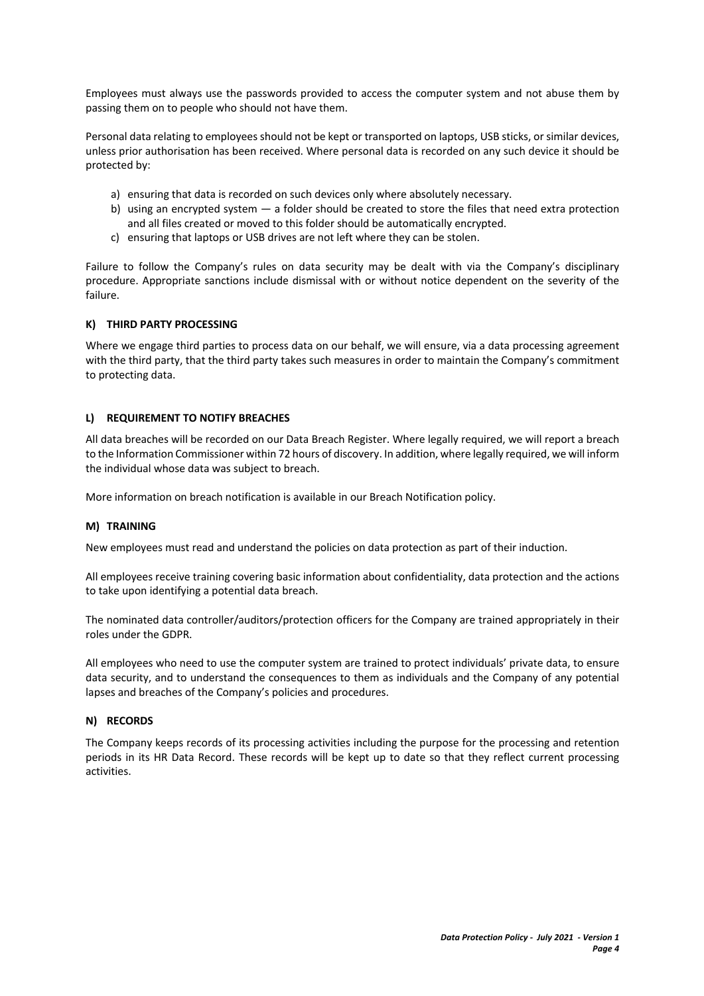Employees must always use the passwords provided to access the computer system and not abuse them by passing them on to people who should not have them.

Personal data relating to employees should not be kept or transported on laptops, USB sticks, or similar devices, unless prior authorisation has been received. Where personal data is recorded on any such device it should be protected by:

- a) ensuring that data is recorded on such devices only where absolutely necessary.
- b) using an encrypted system  $-$  a folder should be created to store the files that need extra protection and all files created or moved to this folder should be automatically encrypted.
- c) ensuring that laptops or USB drives are not left where they can be stolen.

Failure to follow the Company's rules on data security may be dealt with via the Company's disciplinary procedure. Appropriate sanctions include dismissal with or without notice dependent on the severity of the failure.

### **K) THIRD PARTY PROCESSING**

Where we engage third parties to process data on our behalf, we will ensure, via a data processing agreement with the third party, that the third party takes such measures in order to maintain the Company's commitment to protecting data.

### **L) REQUIREMENT TO NOTIFY BREACHES**

All data breaches will be recorded on our Data Breach Register. Where legally required, we will report a breach to the Information Commissioner within 72 hours of discovery. In addition, where legally required, we will inform the individual whose data was subject to breach.

More information on breach notification is available in our Breach Notification policy.

# **M) TRAINING**

New employees must read and understand the policies on data protection as part of their induction.

All employees receive training covering basic information about confidentiality, data protection and the actions to take upon identifying a potential data breach.

The nominated data controller/auditors/protection officers for the Company are trained appropriately in their roles under the GDPR.

All employees who need to use the computer system are trained to protect individuals' private data, to ensure data security, and to understand the consequences to them as individuals and the Company of any potential lapses and breaches of the Company's policies and procedures.

# **N) RECORDS**

The Company keeps records of its processing activities including the purpose for the processing and retention periods in its HR Data Record. These records will be kept up to date so that they reflect current processing activities.